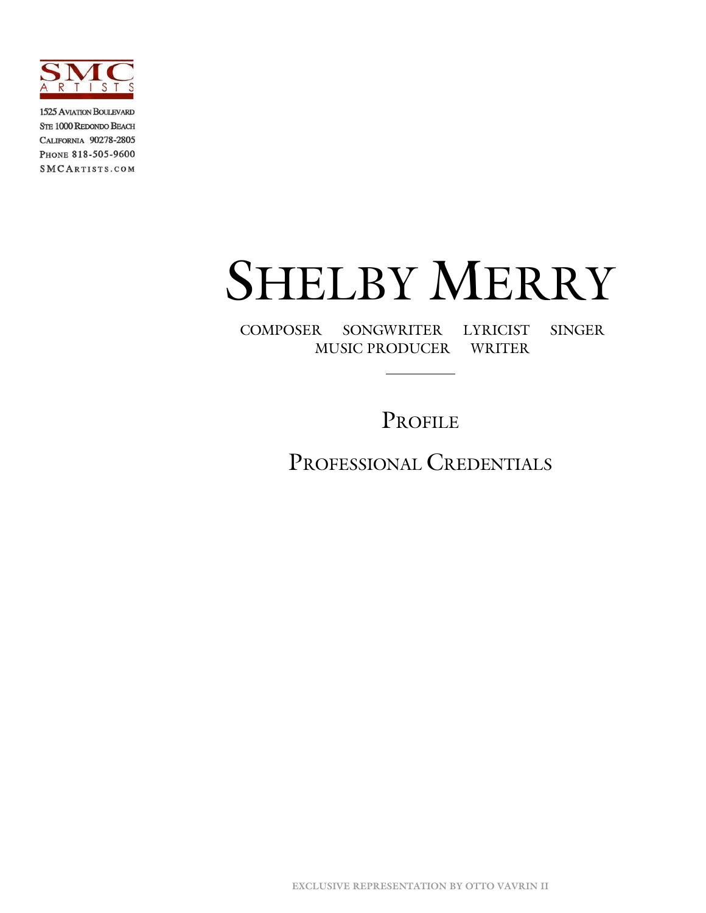

**1525 AVIATION BOULEVARD** STE 1000 REDONDO BEACH CALIFORNIA 90278-2805 PHONE 818-505-9600 SMCARTISTS.COM

# SHELBY MERRY

COMPOSER SONGWRITER LYRICIST SINGER MUSIC PRODUCER WRITER

PROFILE

PROFESSIONAL CREDENTIALS

**EXCLUSIVE REPRESENTATION BY OTTO VAVRIN II**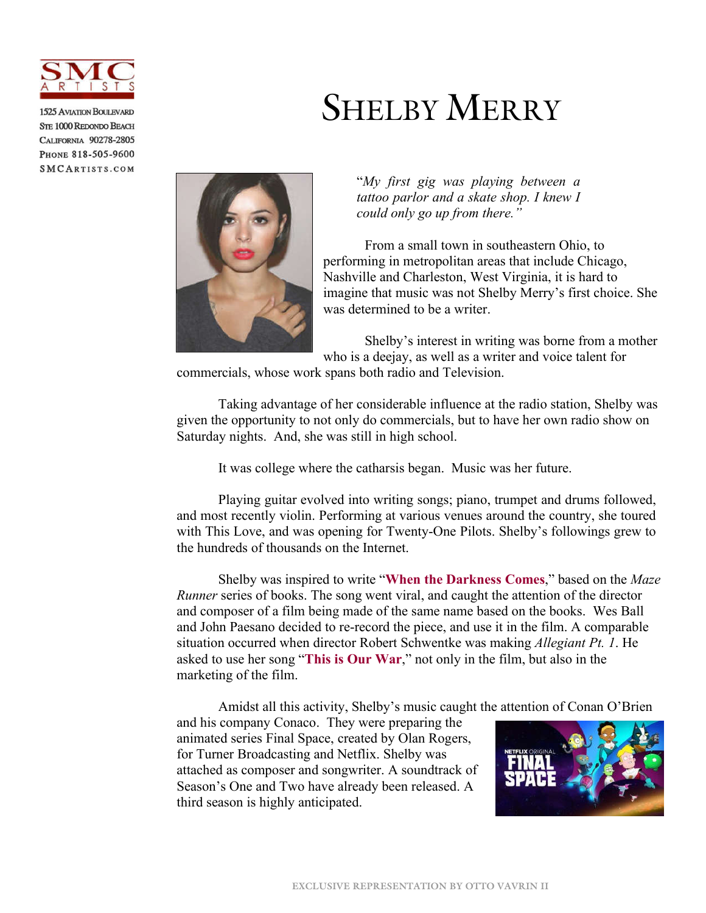

**1525 AVIATION BOULEVARD STE 1000 REDONDO BEACH** CALIFORNIA 90278-2805 PHONE 818-505-9600 SMCARTISTS.COM

## SHELBY MERRY



"*My first gig was playing between a tattoo parlor and a skate shop. I knew I could only go up from there."*

From a small town in southeastern Ohio, to performing in metropolitan areas that include Chicago, Nashville and Charleston, West Virginia, it is hard to imagine that music was not Shelby Merry's first choice. She was determined to be a writer.

Shelby's interest in writing was borne from a mother who is a deejay, as well as a writer and voice talent for

commercials, whose work spans both radio and Television.

Taking advantage of her considerable influence at the radio station, Shelby was given the opportunity to not only do commercials, but to have her own radio show on Saturday nights. And, she was still in high school.

It was college where the catharsis began. Music was her future.

Playing guitar evolved into writing songs; piano, trumpet and drums followed, and most recently violin. Performing at various venues around the country, she toured with This Love, and was opening for Twenty-One Pilots. Shelby's followings grew to the hundreds of thousands on the Internet.

Shelby was inspired to write "**[When the Darkness Comes](https://www.youtube.com/watch?v=Z9--uTfjP2o)**," based on the *Maze Runner* series of books. The song went viral, and caught the attention of the director and composer of a film being made of the same name based on the books. Wes Ball and John Paesano decided to re-record the piece, and use it in the film. A comparable situation occurred when director Robert Schwentke was making *Allegiant Pt. 1*. He asked to use her song "**[This is Our War](https://www.youtube.com/watch?v=Z9--uTfjP2o)**," not only in the film, but also in the marketing of the film.

Amidst all this activity, Shelby's music caught the attention of Conan O'Brien

and his company Conaco. They were preparing the animated series Final Space, created by Olan Rogers, for Turner Broadcasting and Netflix. Shelby was attached as composer and songwriter. A soundtrack of Season's One and Two have already been released. A third season is highly anticipated.

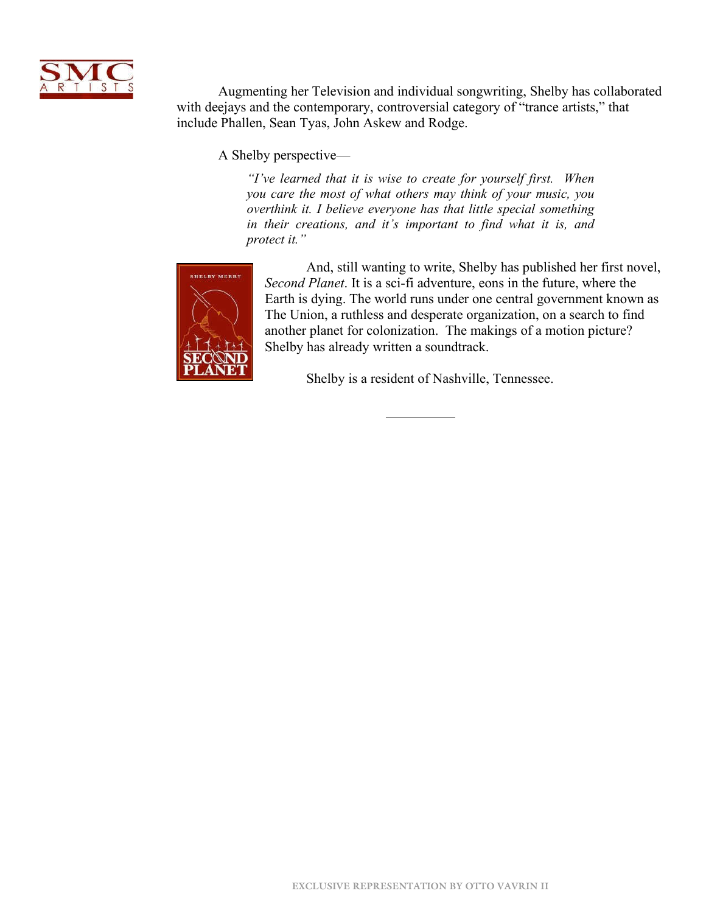

Augmenting her Television and individual songwriting, Shelby has collaborated with deejays and the contemporary, controversial category of "trance artists," that include Phallen, Sean Tyas, John Askew and Rodge.

A Shelby perspective—

*"I've learned that it is wise to create for yourself first. When you care the most of what others may think of your music, you overthink it. I believe everyone has that little special something in their creations, and it's important to find what it is, and protect it."*



And, still wanting to write, Shelby has published her first novel, *Second Planet*. It is a sci-fi adventure, eons in the future, where the Earth is dying. The world runs under one central government known as The Union, a ruthless and desperate organization, on a search to find another planet for colonization. The makings of a motion picture? Shelby has already written a soundtrack.

Shelby is a resident of Nashville, Tennessee.